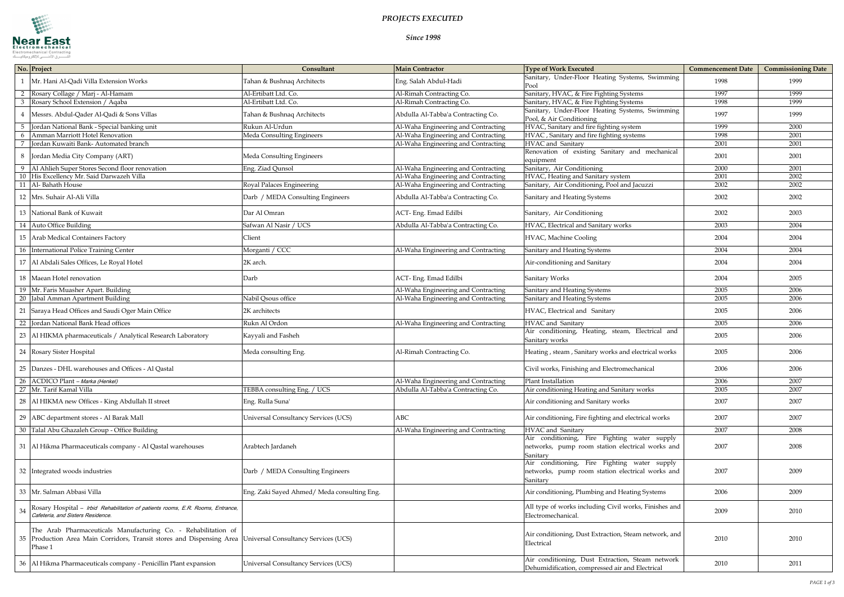

## *PROJECTS EXECUTED*

*Since 1998*

| No. Project |                                                                                                                                                    | Consultant                                 | <b>Main Contractor</b>              | <b>Type of Work Executed</b>                                                                                 | <b>Commencement Date</b> | <b>Commissioning Date</b> |
|-------------|----------------------------------------------------------------------------------------------------------------------------------------------------|--------------------------------------------|-------------------------------------|--------------------------------------------------------------------------------------------------------------|--------------------------|---------------------------|
|             | Mr. Hani Al-Qadi Villa Extension Works                                                                                                             | Tahan & Bushnaq Architects                 | Eng. Salah Abdul-Hadi               | Sanitary, Under-Floor Heating Systems, Swimming<br>Pool                                                      | 1998                     | 1999                      |
|             | Rosary Collage / Marj - Al-Hamam                                                                                                                   | Al-Ertibatt Ltd. Co.                       | Al-Rimah Contracting Co.            | Sanitary, HVAC, & Fire Fighting Systems                                                                      | 1997                     | 1999                      |
|             | Rosary School Extension / Aqaba                                                                                                                    | Al-Ertibatt Ltd. Co.                       | Al-Rimah Contracting Co.            | Sanitary, HVAC, & Fire Fighting Systems                                                                      | 1998                     | 1999                      |
|             | Messrs. Abdul-Qader Al-Qadi & Sons Villas                                                                                                          | Tahan & Bushnaq Architects                 | Abdulla Al-Tabba'a Contracting Co.  | Sanitary, Under-Floor Heating Systems, Swimming<br>Pool, & Air Conditioning                                  | 1997                     | 1999                      |
| - 5         | Jordan National Bank - Special banking unit                                                                                                        | Rukun Al-Urdun                             | Al-Waha Engineering and Contracting | HVAC, Sanitary and fire fighting system                                                                      | 1999                     | 2000                      |
|             | Amman Marriott Hotel Renovation                                                                                                                    | Meda Consulting Engineers                  | Al-Waha Engineering and Contracting | HVAC, Sanitary and fire fighting systems                                                                     | 1998                     | 2001                      |
|             | Jordan Kuwaiti Bank-Automated branch                                                                                                               |                                            | Al-Waha Engineering and Contracting | HVAC and Sanitary                                                                                            | 2001                     | 2001                      |
|             | 8 Jordan Media City Company (ART)                                                                                                                  | Meda Consulting Engineers                  |                                     | Renovation of existing Sanitary and mechanical<br>equipment                                                  | 2001                     | 2001                      |
|             | Al Ahlieh Super Stores Second floor renovation                                                                                                     | Eng. Ziad Qunsol                           | Al-Waha Engineering and Contracting | Sanitary, Air Conditioning                                                                                   | 2000                     | 2001                      |
|             | His Excellency Mr. Said Darwazeh Villa                                                                                                             |                                            | Al-Waha Engineering and Contracting | HVAC, Heating and Sanitary system                                                                            | 2001                     | 2002                      |
|             | 11 Al-Bahath House                                                                                                                                 | Royal Palaces Engineering                  | Al-Waha Engineering and Contracting | Sanitary, Air Conditioning, Pool and Jacuzzi                                                                 | 2002                     | 2002                      |
|             | 12 Mrs. Suhair Al-Ali Villa                                                                                                                        | Darb / MEDA Consulting Engineers           | Abdulla Al-Tabba'a Contracting Co.  | Sanitary and Heating Systems                                                                                 | 2002                     | 2002                      |
|             | 13 National Bank of Kuwait                                                                                                                         | Dar Al Omran                               | ACT-Eng. Emad Edilbi                | Sanitary, Air Conditioning                                                                                   | 2002                     | 2003                      |
|             | 14 Auto Office Building                                                                                                                            | Safwan Al Nasir / UCS                      | Abdulla Al-Tabba'a Contracting Co.  | HVAC, Electrical and Sanitary works                                                                          | 2003                     | 2004                      |
|             | 15   Arab Medical Containers Factory                                                                                                               | Client                                     |                                     | HVAC, Machine Cooling                                                                                        | 2004                     | 2004                      |
|             | 16 International Police Training Center                                                                                                            | Morganti / CCC                             | Al-Waha Engineering and Contracting | Sanitary and Heating Systems                                                                                 | 2004                     | 2004                      |
|             | 17   Al Abdali Sales Offices, Le Royal Hotel                                                                                                       | 2K arch.                                   |                                     | Air-conditioning and Sanitary                                                                                | 2004                     | 2004                      |
|             | 18 Maean Hotel renovation                                                                                                                          | Darb                                       | ACT-Eng. Emad Edilbi                | Sanitary Works                                                                                               | 2004                     | 2005                      |
|             | 19 Mr. Faris Muasher Apart. Building                                                                                                               |                                            | Al-Waha Engineering and Contracting | Sanitary and Heating Systems                                                                                 | 2005                     | 2006                      |
|             | 20 Jabal Amman Apartment Building                                                                                                                  | Nabil Qsous office                         | Al-Waha Engineering and Contracting | Sanitary and Heating Systems                                                                                 | 2005                     | 2006                      |
|             | 21 Saraya Head Offices and Saudi Oger Main Office                                                                                                  | 2K architects                              |                                     | HVAC, Electrical and Sanitary                                                                                | 2005                     | 2006                      |
|             | 22 Jordan National Bank Head offices                                                                                                               | Rukn Al Ordon                              | Al-Waha Engineering and Contracting | HVAC and Sanitary                                                                                            | 2005                     | 2006                      |
|             | 23   Al HIKMA pharmaceuticals / Analytical Research Laboratory                                                                                     | Kayyali and Fasheh                         |                                     | Air conditioning, Heating, steam, Electrical and<br>Sanitary works                                           | 2005                     | 2006                      |
|             | 24 Rosary Sister Hospital                                                                                                                          | Meda consulting Eng.                       | Al-Rimah Contracting Co.            | Heating, steam, Sanitary works and electrical works                                                          | 2005                     | 2006                      |
|             | 25  Danzes - DHL warehouses and Offices - Al Qastal                                                                                                |                                            |                                     | Civil works, Finishing and Electromechanical                                                                 | 2006                     | 2006                      |
|             | 26 ACDICO Plant – Marka (Henkel)                                                                                                                   |                                            | Al-Waha Engineering and Contracting | Plant Installation                                                                                           | 2006                     | 2007                      |
|             | 27 Mr. Tarif Kamal Villa                                                                                                                           | TEBBA consulting Eng. / UCS                | Abdulla Al-Tabba'a Contracting Co.  | Air conditioning Heating and Sanitary works                                                                  | 2005                     | 2007                      |
|             | 28 Al HIKMA new Offices - King Abdullah II street                                                                                                  | Eng. Rulla Suna'                           |                                     | Air conditioning and Sanitary works                                                                          | 2007                     | 2007                      |
|             | 29   ABC department stores - Al Barak Mall                                                                                                         | Universal Consultancy Services (UCS)       | <b>ABC</b>                          | Air conditioning, Fire fighting and electrical works                                                         | 2007                     | 2007                      |
|             | 30 Talal Abu Ghazaleh Group - Office Building                                                                                                      |                                            | Al-Waha Engineering and Contracting | HVAC and Sanitary                                                                                            | 2007                     | 2008                      |
|             | 31   Al Hikma Pharmaceuticals company - Al Qastal warehouses                                                                                       | Arabtech Jardaneh                          |                                     | Air conditioning, Fire Fighting water supply<br>networks, pump room station electrical works and<br>Sanitary | 2007                     | 2008                      |
|             | 32 Integrated woods industries                                                                                                                     | Darb / MEDA Consulting Engineers           |                                     | Air conditioning, Fire Fighting water supply<br>networks, pump room station electrical works and<br>Sanitary | 2007                     | 2009                      |
|             | 33 Mr. Salman Abbasi Villa                                                                                                                         | Eng. Zaki Sayed Ahmed/Meda consulting Eng. |                                     | Air conditioning, Plumbing and Heating Systems                                                               | 2006                     | 2009                      |
|             | Rosary Hospital - Irbid Rehabilitation of patients rooms, E.R. Rooms, Entrance,<br>Cafeteria, and Sisters Residence.                               |                                            |                                     | All type of works including Civil works, Finishes and<br>Electromechanical.                                  | 2009                     | 2010                      |
|             | The Arab Pharmaceuticals Manufacturing Co. - Rehabilitation of<br>35 Production Area Main Corridors, Transit stores and Dispensing Area<br>Phase 1 | Universal Consultancy Services (UCS)       |                                     | Air conditioning, Dust Extraction, Steam network, and<br>Electrical                                          | 2010                     | 2010                      |
|             | 36   Al Hikma Pharmaceuticals company - Penicillin Plant expansion                                                                                 | Universal Consultancy Services (UCS)       |                                     | Air conditioning, Dust Extraction, Steam network<br>Dehumidification, compressed air and Electrical          | 2010                     | 2011                      |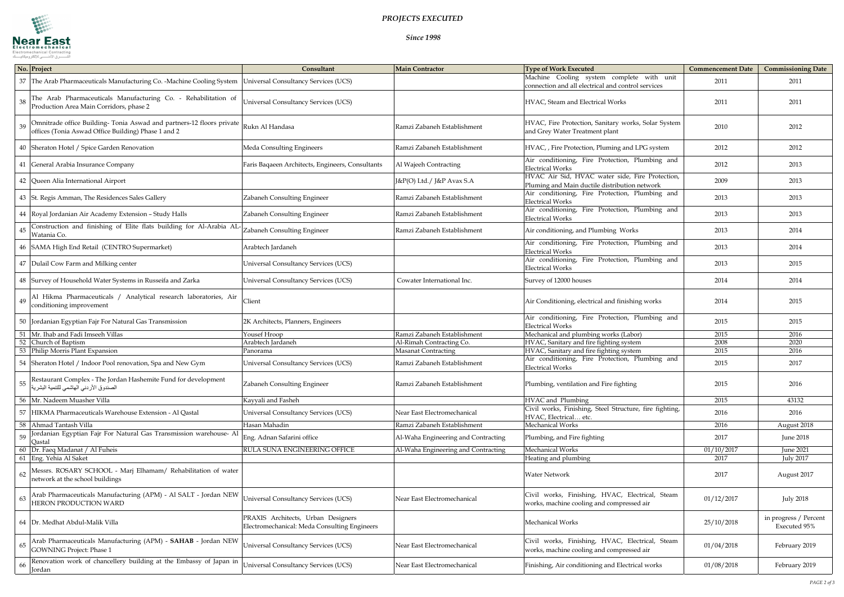

*Since 1998*

| No. Project                                                                                                                        | Consultant                                                                         | <b>Main Contractor</b>              | <b>Type of Work Executed</b>                                                                     | <b>Commencement Date</b> | <b>Commissioning Date</b>             |
|------------------------------------------------------------------------------------------------------------------------------------|------------------------------------------------------------------------------------|-------------------------------------|--------------------------------------------------------------------------------------------------|--------------------------|---------------------------------------|
| 37 The Arab Pharmaceuticals Manufacturing Co. -Machine Cooling System                                                              | Universal Consultancy Services (UCS)                                               |                                     | Machine Cooling system complete with unit<br>connection and all electrical and control services  | 2011                     | 2011                                  |
| The Arab Pharmaceuticals Manufacturing Co. - Rehabilitation of<br>38<br>Production Area Main Corridors, phase 2                    | <b>Universal Consultancy Services (UCS)</b>                                        |                                     | HVAC, Steam and Electrical Works                                                                 | 2011                     | 2011                                  |
| Omnitrade office Building- Tonia Aswad and partners-12 floors private<br>39<br>offices (Tonia Aswad Office Building) Phase 1 and 2 | Rukn Al Handasa                                                                    | Ramzi Zabaneh Establishment         | HVAC, Fire Protection, Sanitary works, Solar System<br>and Grey Water Treatment plant            | 2010                     | 2012                                  |
| 40 Sheraton Hotel / Spice Garden Renovation                                                                                        | Meda Consulting Engineers                                                          | Ramzi Zabaneh Establishment         | HVAC, , Fire Protection, Pluming and LPG system                                                  | 2012                     | 2012                                  |
| 41 General Arabia Insurance Company                                                                                                | Faris Baqaeen Architects, Engineers, Consultants                                   | Al Wajeeh Contracting               | Air conditioning, Fire Protection, Plumbing and<br><b>Electrical Works</b>                       | 2012                     | 2013                                  |
| 42 Queen Alia International Airport                                                                                                |                                                                                    | J&P(O) Ltd./ J&P Avax S.A           | HVAC Air Sid, HVAC water side, Fire Protection,<br>Pluming and Main ductile distribution network | 2009                     | 2013                                  |
| 43 St. Regis Amman, The Residences Sales Gallery                                                                                   | Zabaneh Consulting Engineer                                                        | Ramzi Zabaneh Establishment         | Air conditioning, Fire Protection, Plumbing and<br><b>Electrical Works</b>                       | 2013                     | 2013                                  |
| 44 Royal Jordanian Air Academy Extension - Study Halls                                                                             | Zabaneh Consulting Engineer                                                        | Ramzi Zabaneh Establishment         | Air conditioning, Fire Protection, Plumbing and<br><b>Electrical Works</b>                       | 2013                     | 2013                                  |
| Construction and finishing of Elite flats building for Al-Arabia AL-<br>45<br>Watania Co.                                          | Zabaneh Consulting Engineer                                                        | Ramzi Zabaneh Establishment         | Air conditioning, and Plumbing Works                                                             | 2013                     | 2014                                  |
| 46 SAMA High End Retail (CENTRO Supermarket)                                                                                       | Arabtech Jardaneh                                                                  |                                     | Air conditioning, Fire Protection, Plumbing and<br><b>Electrical Works</b>                       | 2013                     | 2014                                  |
| 47   Dulail Cow Farm and Milking center                                                                                            | Universal Consultancy Services (UCS)                                               |                                     | Air conditioning, Fire Protection, Plumbing and<br><b>Electrical Works</b>                       | 2013                     | 2015                                  |
| 48 Survey of Household Water Systems in Russeifa and Zarka                                                                         | <b>Universal Consultancy Services (UCS)</b>                                        | Cowater International Inc.          | Survey of 12000 houses                                                                           | 2014                     | 2014                                  |
| Al Hikma Pharmaceuticals / Analytical research laboratories, Air<br>49<br>conditioning improvement                                 | Client                                                                             |                                     | Air Conditioning, electrical and finishing works                                                 | 2014                     | 2015                                  |
| 50 Jordanian Egyptian Fajr For Natural Gas Transmission                                                                            | 2K Architects, Planners, Engineers                                                 |                                     | Air conditioning, Fire Protection, Plumbing and<br><b>Electrical Works</b>                       | 2015                     | 2015                                  |
| 51 Mr. Ihab and Fadi Imseeh Villas                                                                                                 | Yousef Hroop                                                                       | Ramzi Zabaneh Establishment         | Mechanical and plumbing works (Labor)                                                            | 2015                     | 2016                                  |
| 52<br>Church of Baptism                                                                                                            | Arabtech Jardaneh                                                                  | Al-Rimah Contracting Co.            | HVAC, Sanitary and fire fighting system                                                          | 2008                     | 2020                                  |
| 53<br>Philip Morris Plant Expansion                                                                                                | Panorama                                                                           | <b>Masanat Contracting</b>          | HVAC, Sanitary and fire fighting system                                                          | 2015                     | 2016                                  |
| 54 Sheraton Hotel / Indoor Pool renovation, Spa and New Gym                                                                        | <b>Universal Consultancy Services (UCS)</b>                                        | Ramzi Zabaneh Establishment         | Air conditioning, Fire Protection, Plumbing and<br><b>Electrical Works</b>                       | 2015                     | 2017                                  |
| Restaurant Complex - The Jordan Hashemite Fund for development<br>- 55<br>الصندوق الأردني الهاشمي للتنمية البشرية                  | Zabaneh Consulting Engineer                                                        | Ramzi Zabaneh Establishment         | Plumbing, ventilation and Fire fighting                                                          | 2015                     | 2016                                  |
| 56 Mr. Nadeem Muasher Villa                                                                                                        | Kayyali and Fasheh                                                                 |                                     | HVAC and Plumbing                                                                                | 2015                     | 43132                                 |
| 57<br>HIKMA Pharmaceuticals Warehouse Extension - Al Qastal                                                                        | Universal Consultancy Services (UCS)                                               | Near East Electromechanical         | Civil works, Finishing, Steel Structure, fire fighting,<br>HVAC, Electrical etc.                 | 2016                     | 2016                                  |
| 58<br>Ahmad Tantash Villa                                                                                                          | Hasan Mahadin                                                                      | Ramzi Zabaneh Establishment         | Mechanical Works                                                                                 | 2016                     | August 2018                           |
| fordanian Egyptian Fajr For Natural Gas Transmission warehouse- Al<br>59<br>Qastal                                                 | Eng. Adnan Safarini office                                                         | Al-Waha Engineering and Contracting | Plumbing, and Fire fighting                                                                      | 2017                     | June 2018                             |
| 60 Dr. Faeq Madanat / Al Fuheis                                                                                                    | RULA SUNA ENGINEERING OFFICE                                                       | Al-Waha Engineering and Contracting | Mechanical Works                                                                                 | 01/10/2017               | <b>June 2021</b>                      |
| 61 Eng. Yehia Al Saket                                                                                                             |                                                                                    |                                     | Heating and plumbing                                                                             | 2017                     | <b>July 2017</b>                      |
| Messrs. ROSARY SCHOOL - Marj Elhamam/ Rehabilitation of water<br>62<br>network at the school buildings                             |                                                                                    |                                     | <b>Water Network</b>                                                                             | 2017                     | August 2017                           |
| Arab Pharmaceuticals Manufacturing (APM) - Al SALT - Jordan NEW<br>-63<br>HERON PRODUCTION WARD                                    | <b>Universal Consultancy Services (UCS)</b>                                        | Near East Electromechanical         | Civil works, Finishing, HVAC, Electrical, Steam<br>works, machine cooling and compressed air     | 01/12/2017               | <b>July 2018</b>                      |
| 64 Dr. Medhat Abdul-Malik Villa                                                                                                    | PRAXIS Architects, Urban Designers<br>Electromechanical: Meda Consulting Engineers |                                     | Mechanical Works                                                                                 | 25/10/2018               | in progress / Percent<br>Executed 95% |
| Arab Pharmaceuticals Manufacturing (APM) - SAHAB - Jordan NEW<br>65<br><b>GOWNING Project: Phase 1</b>                             | Universal Consultancy Services (UCS)                                               | Near East Electromechanical         | Civil works, Finishing, HVAC, Electrical, Steam<br>works, machine cooling and compressed air     | 01/04/2018               | February 2019                         |
| Renovation work of chancellery building at the Embassy of Japan in<br>66<br>Jordan                                                 | Universal Consultancy Services (UCS)                                               | Near East Electromechanical         | Finishing, Air conditioning and Electrical works                                                 | 01/08/2018               | February 2019                         |